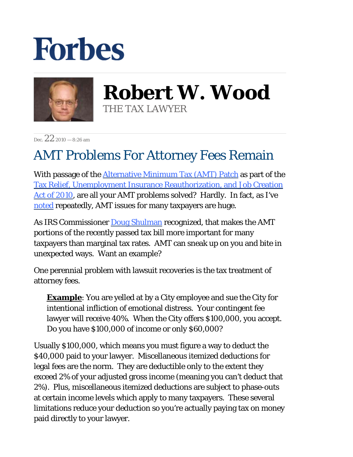## **Forbes**



**Robert W. Wood** THE TAX LAWYER

Dec.  $22_{2010} - 8:26$  am

## AMT Problems For Attorney Fees Remain

With passage of the *Alternative Minimum Tax (AMT)* Patch as part of the [Tax Relief, Unemployment Insurance Reauthorization, and Job Creation](http://www.gpo.gov/fdsys/pkg/BILLS-111hr4853enr/pdf/BILLS-111hr4853enr.pdf)  [Act of 2010,](http://www.gpo.gov/fdsys/pkg/BILLS-111hr4853enr/pdf/BILLS-111hr4853enr.pdf) are all your AMT problems solved? Hardly. In fact, as I've [noted r](http://blogs.forbes.com/robertwood/2010/12/17/amt-patch-nicely-embroidered/)epeatedly, AMT issues for many taxpayers are huge.

As IRS Commissioner [Doug Shulman](http://taxprof.typepad.com/files/levin-1.pdf) recognized, that makes the AMT portions of the recently passed tax bill more important for many taxpayers than marginal tax rates. AMT can sneak up on you and bite in unexpected ways. Want an example?

One perennial problem with lawsuit recoveries is the tax treatment of attorney fees.

**Example**: You are yelled at by a City employee and sue the City for intentional infliction of emotional distress. Your contingent fee lawyer will receive 40%. When the City offers \$100,000, you accept. Do you have \$100,000 of income or only \$60,000?

Usually \$100,000, which means you must figure a way to deduct the \$40,000 paid to your lawyer. Miscellaneous itemized deductions for legal fees are the norm. They are deductible only to the extent they exceed 2% of your adjusted gross income (meaning you can't deduct that 2%). Plus, miscellaneous itemized deductions are subject to phase-outs at certain income levels which apply to many taxpayers. These several limitations reduce your deduction so you're actually paying tax on money paid directly to your lawyer.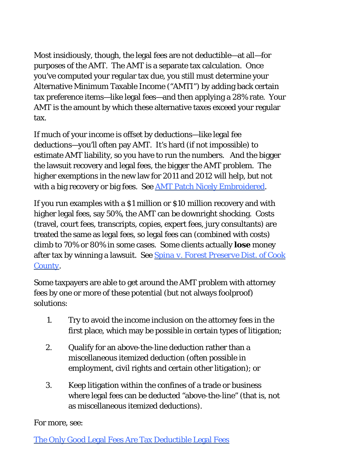Most insidiously, though, the legal fees are not deductible—at all—for purposes of the AMT. The AMT is a separate tax calculation. Once you've computed your regular tax due, you still must determine your Alternative Minimum Taxable Income ("AMTI") by adding back certain tax preference items—like legal fees—and then applying a 28% rate. Your AMT is the amount by which these alternative taxes exceed your regular tax.

If much of your income is offset by deductions—like legal fee deductions—you'll often pay AMT. It's hard (if not impossible) to estimate AMT liability, so you have to run the numbers. And the bigger the lawsuit recovery and legal fees, the bigger the AMT problem. The higher exemptions in the new law for 2011 and 2012 will help, but not with a big recovery or big fees. See [AMT Patch Nicely Embroidered](http://blogs.forbes.com/robertwood/2010/12/17/amt-patch-nicely-embroidered/).

If you run examples with a \$1 million or \$10 million recovery and with higher legal fees, say 50%, the AMT can be downright shocking. Costs (travel, court fees, transcripts, copies, expert fees, jury consultants) are treated the same as legal fees, so legal fees can (combined with costs) climb to 70% or 80% in some cases. Some clients actually *lose* money after tax by winning a lawsuit. See *[Spina v. Forest Preserve Dist. of Cook](http://scholar.google.com/scholar_case?case=11102662371970222326&hl=en&as_sdt=2&as_vis=1&oi=scholarr) [County](http://scholar.google.com/scholar_case?case=11102662371970222326&hl=en&as_sdt=2&as_vis=1&oi=scholarr)*.

Some taxpayers are able to get around the AMT problem with attorney fees by one or more of these potential (but not always foolproof) solutions:

- Try to avoid the income inclusion on the attorney fees in the first place, which may be possible in certain types of litigation; 1.
- Qualify for an above-the-line deduction rather than a miscellaneous itemized deduction (often possible in employment, civil rights and certain other litigation); or 2.
- Keep litigation within the confines of a trade or business where legal fees can be deducted "above-the-line" (that is, not as miscellaneous itemized deductions). 3.

For more, see:

[The Only Good Legal Fees Are Tax Deductible Legal Fees](http://blogs.forbes.com/robertwood/2010/09/22/the-only-good-legal-fees-are-tax-deductible-legal-fees/)